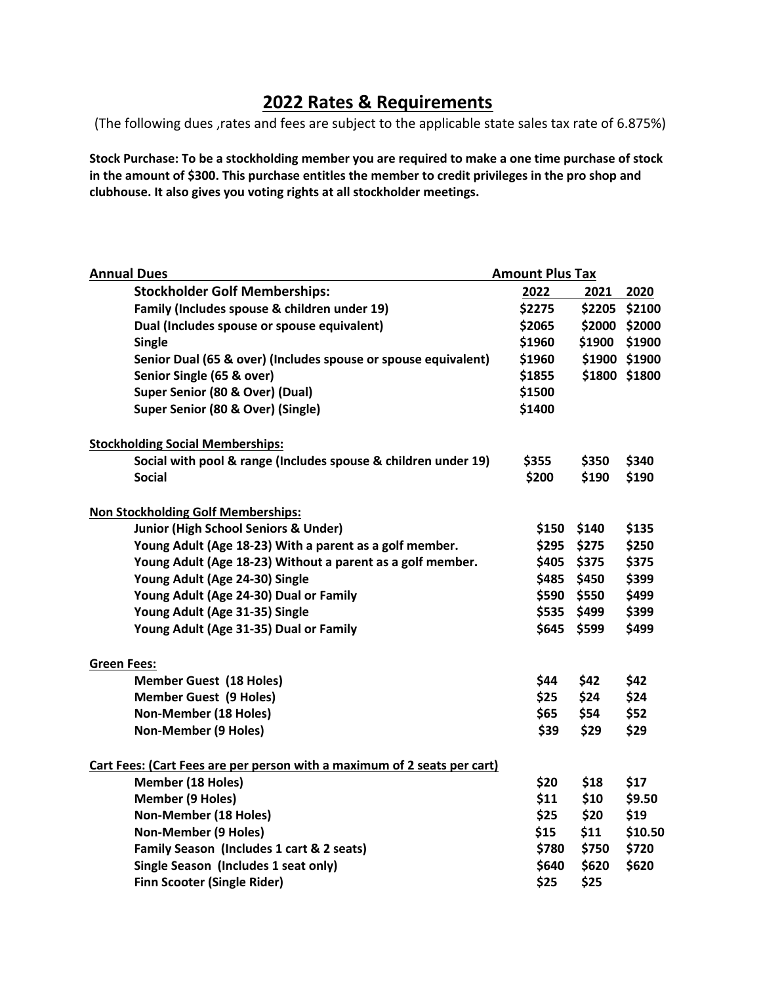## **2022 Rates & Requirements**

(The following dues ,rates and fees are subject to the applicable state sales tax rate of 6.875%)

**Stock Purchase: To be a stockholding member you are required to make a one time purchase of stock in the amount of \$300. This purchase entitles the member to credit privileges in the pro shop and clubhouse. It also gives you voting rights at all stockholder meetings.** 

| <b>Annual Dues</b>                                                       | <b>Amount Plus Tax</b> |       |               |
|--------------------------------------------------------------------------|------------------------|-------|---------------|
| <b>Stockholder Golf Memberships:</b>                                     | 2022                   | 2021  | 2020          |
| Family (Includes spouse & children under 19)                             | \$2275                 |       | \$2205 \$2100 |
| Dual (Includes spouse or spouse equivalent)                              | \$2065                 |       | \$2000 \$2000 |
| <b>Single</b>                                                            | \$1960                 |       | \$1900 \$1900 |
| Senior Dual (65 & over) (Includes spouse or spouse equivalent)           | \$1960                 |       | \$1900 \$1900 |
| Senior Single (65 & over)                                                | \$1855                 |       | \$1800 \$1800 |
| Super Senior (80 & Over) (Dual)                                          | \$1500                 |       |               |
| Super Senior (80 & Over) (Single)                                        | \$1400                 |       |               |
| <b>Stockholding Social Memberships:</b>                                  |                        |       |               |
| Social with pool & range (Includes spouse & children under 19)           | \$355                  | \$350 | \$340         |
| <b>Social</b>                                                            | \$200                  | \$190 | \$190         |
| <b>Non Stockholding Golf Memberships:</b>                                |                        |       |               |
| Junior (High School Seniors & Under)                                     | \$150                  | \$140 | \$135         |
| Young Adult (Age 18-23) With a parent as a golf member.                  | \$295                  | \$275 | \$250         |
| Young Adult (Age 18-23) Without a parent as a golf member.               | \$405                  | \$375 | \$375         |
| Young Adult (Age 24-30) Single                                           | \$485                  | \$450 | \$399         |
| Young Adult (Age 24-30) Dual or Family                                   | \$590                  | \$550 | \$499         |
| Young Adult (Age 31-35) Single                                           | \$535                  | \$499 | \$399         |
| Young Adult (Age 31-35) Dual or Family                                   | \$645                  | \$599 | \$499         |
| <b>Green Fees:</b>                                                       |                        |       |               |
| <b>Member Guest (18 Holes)</b>                                           | \$44                   | \$42  | \$42          |
| <b>Member Guest (9 Holes)</b>                                            | \$25                   | \$24  | \$24          |
| Non-Member (18 Holes)                                                    | \$65                   | \$54  | \$52          |
| <b>Non-Member (9 Holes)</b>                                              | \$39                   | \$29  | \$29          |
| Cart Fees: (Cart Fees are per person with a maximum of 2 seats per cart) |                        |       |               |
| Member (18 Holes)                                                        | \$20                   | \$18  | \$17          |
| <b>Member (9 Holes)</b>                                                  | \$11                   | \$10  | \$9.50        |
| Non-Member (18 Holes)                                                    | \$25                   | \$20  | \$19          |
| Non-Member (9 Holes)                                                     | \$15                   | \$11  | \$10.50       |
| Family Season (Includes 1 cart & 2 seats)                                | \$780                  | \$750 | \$720         |
| Single Season (Includes 1 seat only)                                     | \$640                  | \$620 | \$620         |
| <b>Finn Scooter (Single Rider)</b>                                       | \$25                   | \$25  |               |